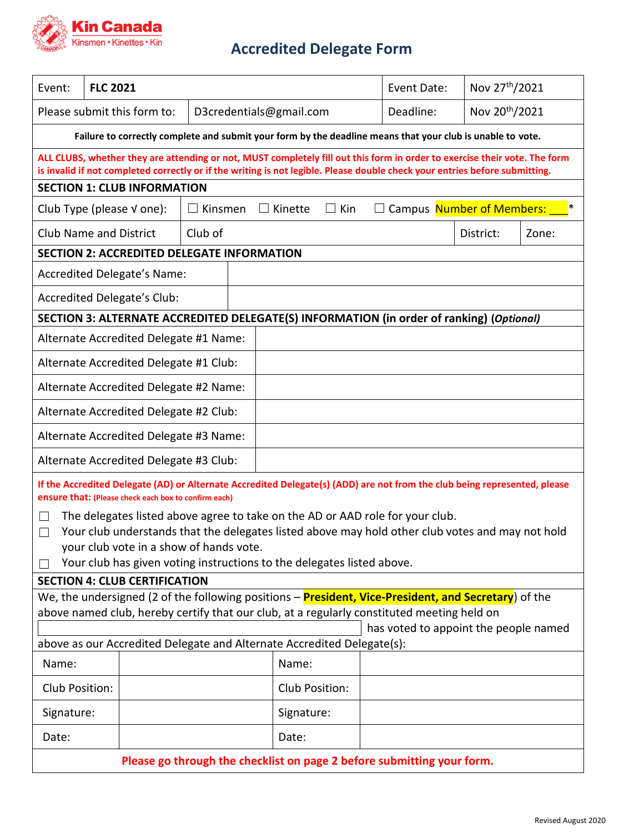

## **Accredited Delegate Form**

| Event:                                                                                                                                                                                                                                                    | <b>FLC 2021</b>                                                                                                 |  |                         |                              | Event Date:                         |               | Nov 27 <sup>th</sup> /2021 |  |  |
|-----------------------------------------------------------------------------------------------------------------------------------------------------------------------------------------------------------------------------------------------------------|-----------------------------------------------------------------------------------------------------------------|--|-------------------------|------------------------------|-------------------------------------|---------------|----------------------------|--|--|
| Please submit this form to:                                                                                                                                                                                                                               |                                                                                                                 |  | D3credentials@gmail.com |                              | Deadline:                           | Nov 20th/2021 |                            |  |  |
| Failure to correctly complete and submit your form by the deadline means that your club is unable to vote.                                                                                                                                                |                                                                                                                 |  |                         |                              |                                     |               |                            |  |  |
| ALL CLUBS, whether they are attending or not, MUST completely fill out this form in order to exercise their vote. The form<br>is invalid if not completed correctly or if the writing is not legible. Please double check your entries before submitting. |                                                                                                                 |  |                         |                              |                                     |               |                            |  |  |
| <b>SECTION 1: CLUB INFORMATION</b>                                                                                                                                                                                                                        |                                                                                                                 |  |                         |                              |                                     |               |                            |  |  |
| Kinsmen<br>Club Type (please $V$ one):<br>$\perp$                                                                                                                                                                                                         |                                                                                                                 |  |                         | $\Box$ Kin<br>$\Box$ Kinette | Campus Number of Members:<br>$\Box$ |               | ∗                          |  |  |
| <b>Club Name and District</b>                                                                                                                                                                                                                             |                                                                                                                 |  | Club of                 |                              |                                     | District:     | Zone:                      |  |  |
| <b>SECTION 2: ACCREDITED DELEGATE INFORMATION</b>                                                                                                                                                                                                         |                                                                                                                 |  |                         |                              |                                     |               |                            |  |  |
| Accredited Delegate's Name:                                                                                                                                                                                                                               |                                                                                                                 |  |                         |                              |                                     |               |                            |  |  |
| Accredited Delegate's Club:                                                                                                                                                                                                                               |                                                                                                                 |  |                         |                              |                                     |               |                            |  |  |
| SECTION 3: ALTERNATE ACCREDITED DELEGATE(S) INFORMATION (in order of ranking) (Optional)                                                                                                                                                                  |                                                                                                                 |  |                         |                              |                                     |               |                            |  |  |
| Alternate Accredited Delegate #1 Name:                                                                                                                                                                                                                    |                                                                                                                 |  |                         |                              |                                     |               |                            |  |  |
| Alternate Accredited Delegate #1 Club:                                                                                                                                                                                                                    |                                                                                                                 |  |                         |                              |                                     |               |                            |  |  |
| Alternate Accredited Delegate #2 Name:                                                                                                                                                                                                                    |                                                                                                                 |  |                         |                              |                                     |               |                            |  |  |
| Alternate Accredited Delegate #2 Club:                                                                                                                                                                                                                    |                                                                                                                 |  |                         |                              |                                     |               |                            |  |  |
| Alternate Accredited Delegate #3 Name:                                                                                                                                                                                                                    |                                                                                                                 |  |                         |                              |                                     |               |                            |  |  |
| Alternate Accredited Delegate #3 Club:                                                                                                                                                                                                                    |                                                                                                                 |  |                         |                              |                                     |               |                            |  |  |
| If the Accredited Delegate (AD) or Alternate Accredited Delegate(s) (ADD) are not from the club being represented, please<br>ensure that: (Please check each box to confirm each)                                                                         |                                                                                                                 |  |                         |                              |                                     |               |                            |  |  |
| The delegates listed above agree to take on the AD or AAD role for your club.<br>$\mathsf{L}$                                                                                                                                                             |                                                                                                                 |  |                         |                              |                                     |               |                            |  |  |
| Your club understands that the delegates listed above may hold other club votes and may not hold<br>$\Box$                                                                                                                                                |                                                                                                                 |  |                         |                              |                                     |               |                            |  |  |
| your club vote in a show of hands vote.                                                                                                                                                                                                                   |                                                                                                                 |  |                         |                              |                                     |               |                            |  |  |
| Your club has given voting instructions to the delegates listed above.                                                                                                                                                                                    |                                                                                                                 |  |                         |                              |                                     |               |                            |  |  |
| <b>SECTION 4: CLUB CERTIFICATION</b>                                                                                                                                                                                                                      |                                                                                                                 |  |                         |                              |                                     |               |                            |  |  |
| We, the undersigned (2 of the following positions – <b>President, Vice-President, and Secretary</b> ) of the                                                                                                                                              |                                                                                                                 |  |                         |                              |                                     |               |                            |  |  |
| above named club, hereby certify that our club, at a regularly constituted meeting held on                                                                                                                                                                |                                                                                                                 |  |                         |                              |                                     |               |                            |  |  |
|                                                                                                                                                                                                                                                           | has voted to appoint the people named<br>above as our Accredited Delegate and Alternate Accredited Delegate(s): |  |                         |                              |                                     |               |                            |  |  |
| Name:                                                                                                                                                                                                                                                     |                                                                                                                 |  | Name:                   |                              |                                     |               |                            |  |  |
| Club Position:                                                                                                                                                                                                                                            |                                                                                                                 |  |                         | Club Position:               |                                     |               |                            |  |  |
| Signature:                                                                                                                                                                                                                                                |                                                                                                                 |  |                         | Signature:                   |                                     |               |                            |  |  |
| Date:                                                                                                                                                                                                                                                     |                                                                                                                 |  |                         | Date:                        |                                     |               |                            |  |  |
| Please go through the checklist on page 2 before submitting your form.                                                                                                                                                                                    |                                                                                                                 |  |                         |                              |                                     |               |                            |  |  |